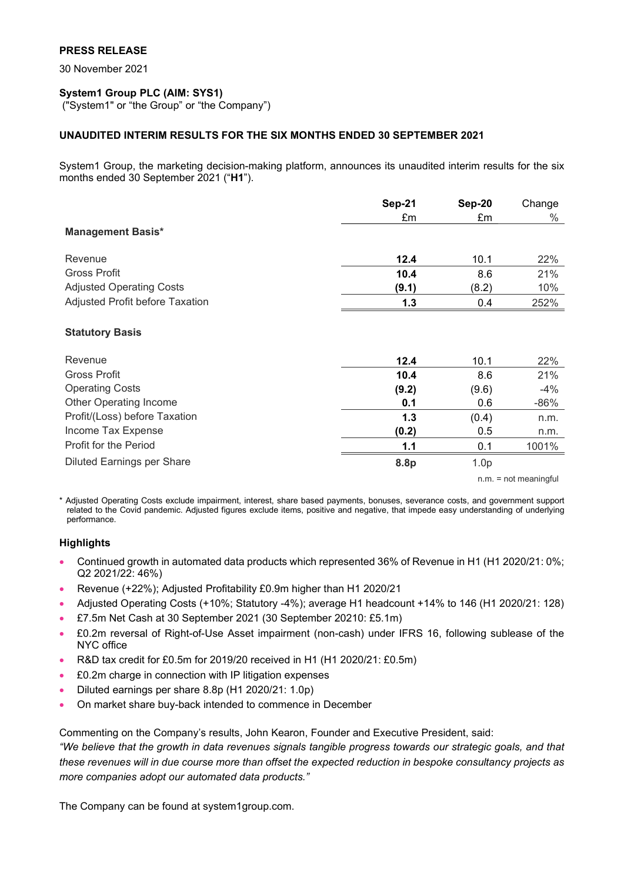## **PRESS RELEASE**

30 November 2021

# **System1 Group PLC (AIM: SYS1)**

("System1" or "the Group" or "the Company")

## **UNAUDITED INTERIM RESULTS FOR THE SIX MONTHS ENDED 30 SEPTEMBER 2021**

System1 Group, the marketing decision-making platform, announces its unaudited interim results for the six months ended 30 September 2021 ("**H1**").

|                                   | Sep-21 | Sep-20           | Change |
|-----------------------------------|--------|------------------|--------|
|                                   | £m     | £m               | %      |
| <b>Management Basis*</b>          |        |                  |        |
| Revenue                           | 12.4   | 10.1             | 22%    |
| <b>Gross Profit</b>               | 10.4   | 8.6              | 21%    |
| <b>Adjusted Operating Costs</b>   | (9.1)  | (8.2)            | 10%    |
| Adjusted Profit before Taxation   | 1.3    | 0.4              | 252%   |
| <b>Statutory Basis</b>            |        |                  |        |
| Revenue                           | 12.4   | 10.1             | 22%    |
| Gross Profit                      | 10.4   | 8.6              | 21%    |
| <b>Operating Costs</b>            | (9.2)  | (9.6)            | $-4%$  |
| <b>Other Operating Income</b>     | 0.1    | 0.6              | $-86%$ |
| Profit/(Loss) before Taxation     | 1.3    | (0.4)            | n.m.   |
| Income Tax Expense                | (0.2)  | 0.5              | n.m.   |
| Profit for the Period             | 1.1    | 0.1              | 1001%  |
| <b>Diluted Earnings per Share</b> | 8.8p   | 1.0 <sub>p</sub> |        |

n.m. = not meaningful

\* Adjusted Operating Costs exclude impairment, interest, share based payments, bonuses, severance costs, and government support related to the Covid pandemic. Adjusted figures exclude items, positive and negative, that impede easy understanding of underlying performance.

## **Highlights**

- Continued growth in automated data products which represented 36% of Revenue in H1 (H1 2020/21: 0%; Q2 2021/22: 46%)
- Revenue (+22%); Adjusted Profitability £0.9m higher than H1 2020/21
- Adjusted Operating Costs (+10%; Statutory -4%); average H1 headcount +14% to 146 (H1 2020/21: 128)
- £7.5m Net Cash at 30 September 2021 (30 September 20210: £5.1m)
- £0.2m reversal of Right-of-Use Asset impairment (non-cash) under IFRS 16, following sublease of the NYC office
- R&D tax credit for £0.5m for 2019/20 received in H1 (H1 2020/21: £0.5m)
- £0.2m charge in connection with IP litigation expenses
- Diluted earnings per share 8.8p (H1 2020/21: 1.0p)
- On market share buy-back intended to commence in December

Commenting on the Company's results, John Kearon, Founder and Executive President, said:

*"We believe that the growth in data revenues signals tangible progress towards our strategic goals, and that these revenues will in due course more than offset the expected reduction in bespoke consultancy projects as more companies adopt our automated data products."*

The Company can be found at system1group.com.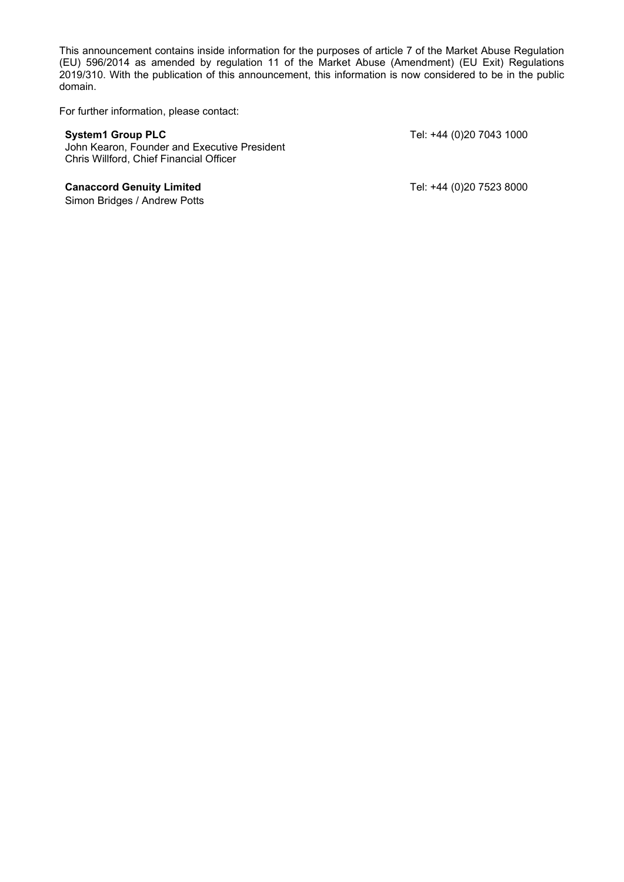This announcement contains inside information for the purposes of article 7 of the Market Abuse Regulation (EU) 596/2014 as amended by regulation 11 of the Market Abuse (Amendment) (EU Exit) Regulations 2019/310. With the publication of this announcement, this information is now considered to be in the public domain.

For further information, please contact:

John Kearon, Founder and Executive President Chris Willford, Chief Financial Officer

### **Canaccord Genuity Limited** Canaccord Genuity Limited Tel: +44 (0)20 7523 8000

Simon Bridges / Andrew Potts

**System1 Group PLC** Tel: +44 (0)20 7043 1000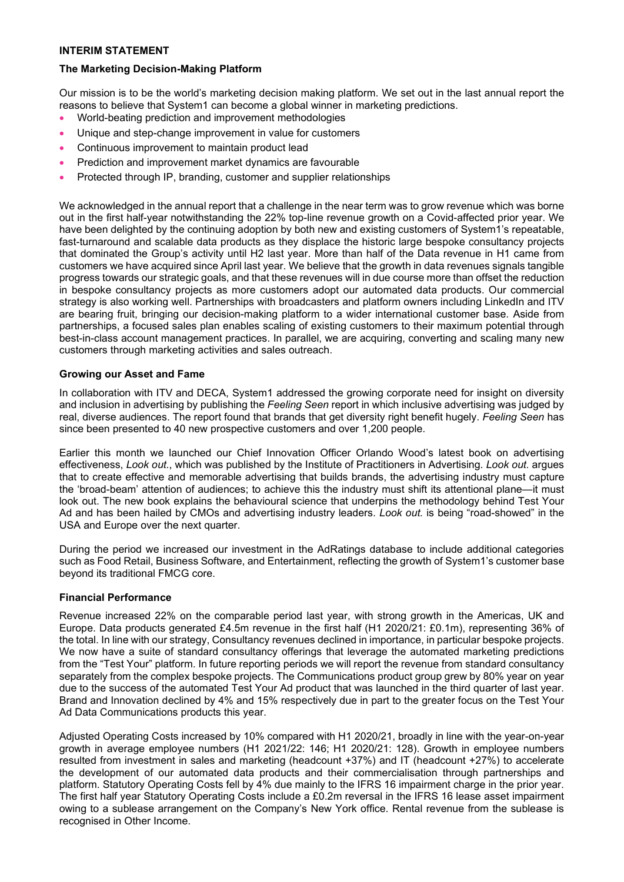### **INTERIM STATEMENT**

### **The Marketing Decision-Making Platform**

Our mission is to be the world's marketing decision making platform. We set out in the last annual report the reasons to believe that System1 can become a global winner in marketing predictions.

- World-beating prediction and improvement methodologies
- Unique and step-change improvement in value for customers
- Continuous improvement to maintain product lead
- Prediction and improvement market dynamics are favourable
- Protected through IP, branding, customer and supplier relationships

We acknowledged in the annual report that a challenge in the near term was to grow revenue which was borne out in the first half-year notwithstanding the 22% top-line revenue growth on a Covid-affected prior year. We have been delighted by the continuing adoption by both new and existing customers of System1's repeatable, fast-turnaround and scalable data products as they displace the historic large bespoke consultancy projects that dominated the Group's activity until H2 last year. More than half of the Data revenue in H1 came from customers we have acquired since April last year. We believe that the growth in data revenues signals tangible progress towards our strategic goals, and that these revenues will in due course more than offset the reduction in bespoke consultancy projects as more customers adopt our automated data products. Our commercial strategy is also working well. Partnerships with broadcasters and platform owners including LinkedIn and ITV are bearing fruit, bringing our decision-making platform to a wider international customer base. Aside from partnerships, a focused sales plan enables scaling of existing customers to their maximum potential through best-in-class account management practices. In parallel, we are acquiring, converting and scaling many new customers through marketing activities and sales outreach.

### **Growing our Asset and Fame**

In collaboration with ITV and DECA, System1 addressed the growing corporate need for insight on diversity and inclusion in advertising by publishing the *Feeling Seen* report in which inclusive advertising was judged by real, diverse audiences. The report found that brands that get diversity right benefit hugely. *Feeling Seen* has since been presented to 40 new prospective customers and over 1,200 people.

Earlier this month we launched our Chief Innovation Officer Orlando Wood's latest book on advertising effectiveness, *Look out.*, which was published by the Institute of Practitioners in Advertising. *Look out.* argues that to create effective and memorable advertising that builds brands, the advertising industry must capture the 'broad-beam' attention of audiences; to achieve this the industry must shift its attentional plane—it must look out. The new book explains the behavioural science that underpins the methodology behind Test Your Ad and has been hailed by CMOs and advertising industry leaders. *Look out.* is being "road-showed" in the USA and Europe over the next quarter.

During the period we increased our investment in the AdRatings database to include additional categories such as Food Retail, Business Software, and Entertainment, reflecting the growth of System1's customer base beyond its traditional FMCG core.

### **Financial Performance**

Revenue increased 22% on the comparable period last year, with strong growth in the Americas, UK and Europe. Data products generated £4.5m revenue in the first half (H1 2020/21: £0.1m), representing 36% of the total. In line with our strategy, Consultancy revenues declined in importance, in particular bespoke projects. We now have a suite of standard consultancy offerings that leverage the automated marketing predictions from the "Test Your" platform. In future reporting periods we will report the revenue from standard consultancy separately from the complex bespoke projects. The Communications product group grew by 80% year on year due to the success of the automated Test Your Ad product that was launched in the third quarter of last year. Brand and Innovation declined by 4% and 15% respectively due in part to the greater focus on the Test Your Ad Data Communications products this year.

Adjusted Operating Costs increased by 10% compared with H1 2020/21, broadly in line with the year-on-year growth in average employee numbers (H1 2021/22: 146; H1 2020/21: 128). Growth in employee numbers resulted from investment in sales and marketing (headcount +37%) and IT (headcount +27%) to accelerate the development of our automated data products and their commercialisation through partnerships and platform. Statutory Operating Costs fell by 4% due mainly to the IFRS 16 impairment charge in the prior year. The first half year Statutory Operating Costs include a £0.2m reversal in the IFRS 16 lease asset impairment owing to a sublease arrangement on the Company's New York office. Rental revenue from the sublease is recognised in Other Income.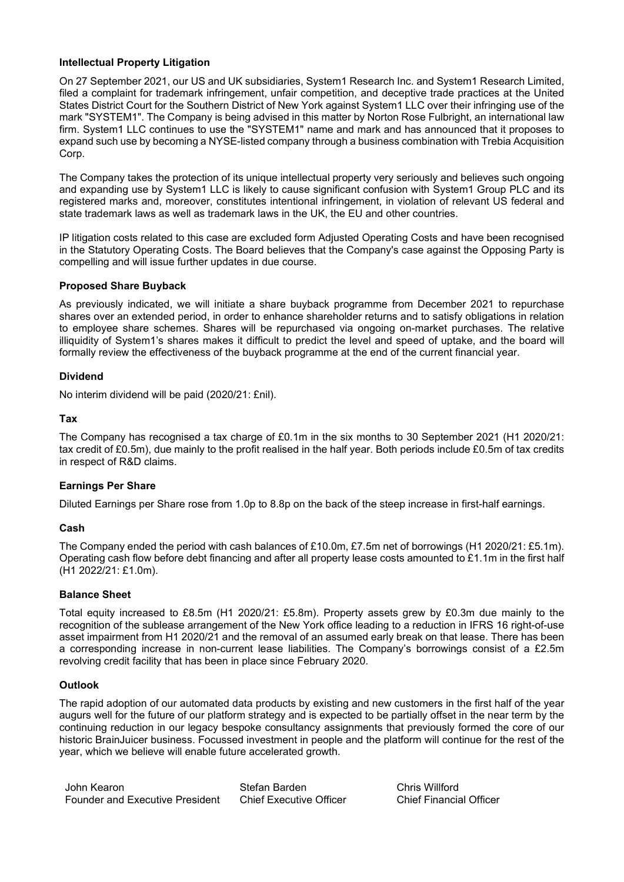### **Intellectual Property Litigation**

On 27 September 2021, our US and UK subsidiaries, System1 Research Inc. and System1 Research Limited, filed a complaint for trademark infringement, unfair competition, and deceptive trade practices at the United States District Court for the Southern District of New York against System1 LLC over their infringing use of the mark "SYSTEM1". The Company is being advised in this matter by Norton Rose Fulbright, an international law firm. System1 LLC continues to use the "SYSTEM1" name and mark and has announced that it proposes to expand such use by becoming a NYSE-listed company through a business combination with Trebia Acquisition Corp.

The Company takes the protection of its unique intellectual property very seriously and believes such ongoing and expanding use by System1 LLC is likely to cause significant confusion with System1 Group PLC and its registered marks and, moreover, constitutes intentional infringement, in violation of relevant US federal and state trademark laws as well as trademark laws in the UK, the EU and other countries.

IP litigation costs related to this case are excluded form Adjusted Operating Costs and have been recognised in the Statutory Operating Costs. The Board believes that the Company's case against the Opposing Party is compelling and will issue further updates in due course.

### **Proposed Share Buyback**

As previously indicated, we will initiate a share buyback programme from December 2021 to repurchase shares over an extended period, in order to enhance shareholder returns and to satisfy obligations in relation to employee share schemes. Shares will be repurchased via ongoing on-market purchases. The relative illiquidity of System1's shares makes it difficult to predict the level and speed of uptake, and the board will formally review the effectiveness of the buyback programme at the end of the current financial year.

### **Dividend**

No interim dividend will be paid (2020/21: £nil).

### **Tax**

The Company has recognised a tax charge of £0.1m in the six months to 30 September 2021 (H1 2020/21: tax credit of £0.5m), due mainly to the profit realised in the half year. Both periods include £0.5m of tax credits in respect of R&D claims.

## **Earnings Per Share**

Diluted Earnings per Share rose from 1.0p to 8.8p on the back of the steep increase in first-half earnings.

### **Cash**

The Company ended the period with cash balances of £10.0m, £7.5m net of borrowings (H1 2020/21: £5.1m). Operating cash flow before debt financing and after all property lease costs amounted to £1.1m in the first half (H1 2022/21: £1.0m).

### **Balance Sheet**

Total equity increased to £8.5m (H1 2020/21: £5.8m). Property assets grew by £0.3m due mainly to the recognition of the sublease arrangement of the New York office leading to a reduction in IFRS 16 right-of-use asset impairment from H1 2020/21 and the removal of an assumed early break on that lease. There has been a corresponding increase in non-current lease liabilities. The Company's borrowings consist of a £2.5m revolving credit facility that has been in place since February 2020.

### **Outlook**

The rapid adoption of our automated data products by existing and new customers in the first half of the year augurs well for the future of our platform strategy and is expected to be partially offset in the near term by the continuing reduction in our legacy bespoke consultancy assignments that previously formed the core of our historic BrainJuicer business. Focussed investment in people and the platform will continue for the rest of the year, which we believe will enable future accelerated growth.

John Kearon Founder and Executive President Stefan Barden Chief Executive Officer Chris Willford Chief Financial Officer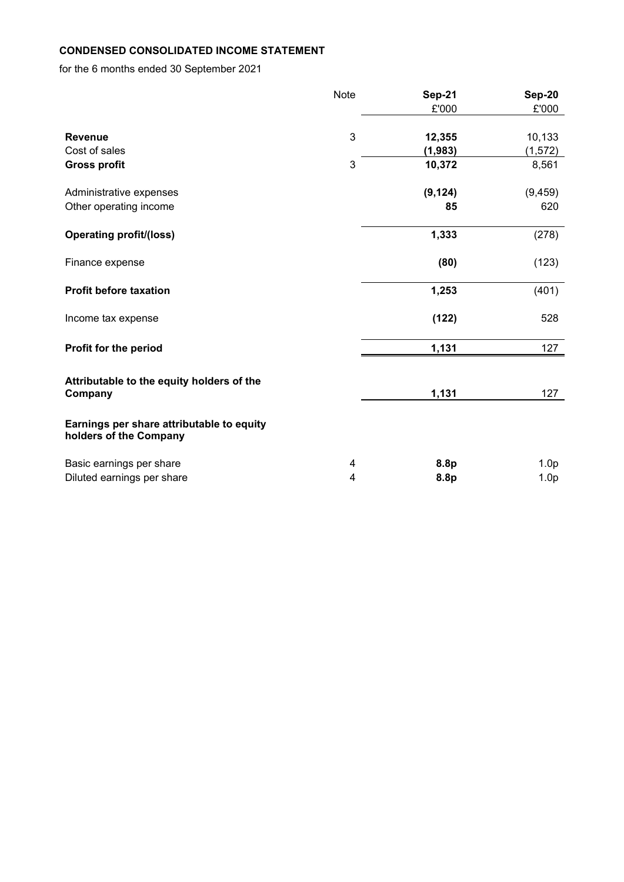# **CONDENSED CONSOLIDATED INCOME STATEMENT**

for the 6 months ended 30 September 2021

|                                                                     | <b>Note</b> | <b>Sep-21</b><br>£'000 | <b>Sep-20</b><br>£'000               |
|---------------------------------------------------------------------|-------------|------------------------|--------------------------------------|
| <b>Revenue</b><br>Cost of sales                                     | 3           | 12,355<br>(1, 983)     | 10,133<br>(1, 572)                   |
| <b>Gross profit</b>                                                 | 3           | 10,372                 | 8,561                                |
| Administrative expenses<br>Other operating income                   |             | (9, 124)<br>85         | (9, 459)<br>620                      |
| <b>Operating profit/(loss)</b>                                      |             | 1,333                  | (278)                                |
| Finance expense                                                     |             | (80)                   | (123)                                |
| <b>Profit before taxation</b>                                       |             | 1,253                  | (401)                                |
| Income tax expense                                                  |             | (122)                  | 528                                  |
| Profit for the period                                               |             | 1,131                  | 127                                  |
| Attributable to the equity holders of the<br>Company                |             | 1,131                  | 127                                  |
| Earnings per share attributable to equity<br>holders of the Company |             |                        |                                      |
| Basic earnings per share<br>Diluted earnings per share              | 4<br>4      | 8.8p<br>8.8p           | 1.0 <sub>p</sub><br>1.0 <sub>p</sub> |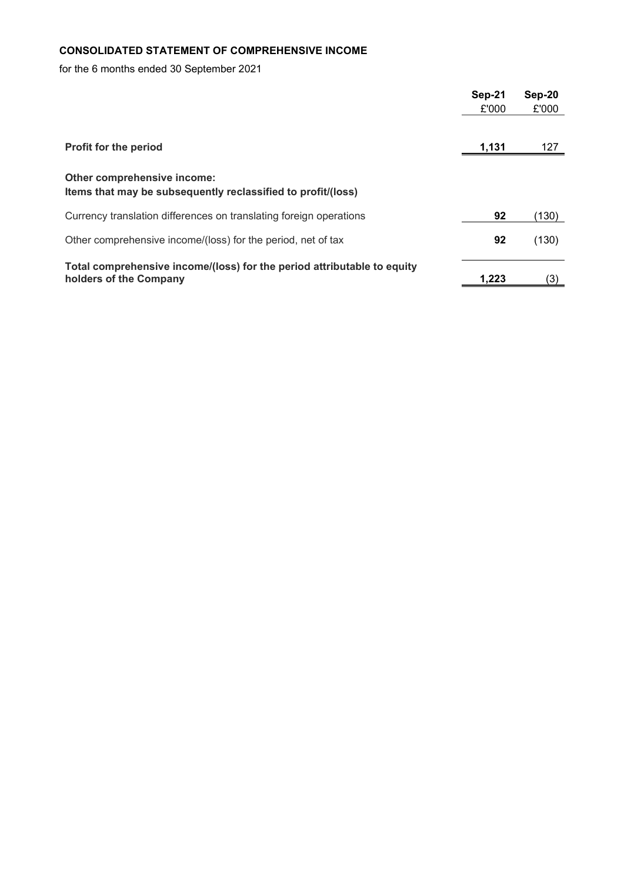# **CONSOLIDATED STATEMENT OF COMPREHENSIVE INCOME**

for the 6 months ended 30 September 2021

|                                                                                                   | Sep-21 | Sep-20 |
|---------------------------------------------------------------------------------------------------|--------|--------|
|                                                                                                   | £'000  | £'000  |
|                                                                                                   |        |        |
| <b>Profit for the period</b>                                                                      | 1,131  | 127    |
| Other comprehensive income:<br>Items that may be subsequently reclassified to profit/(loss)       |        |        |
| Currency translation differences on translating foreign operations                                | 92     | (130)  |
| Other comprehensive income/(loss) for the period, net of tax                                      | 92     | (130)  |
| Total comprehensive income/(loss) for the period attributable to equity<br>holders of the Company | 1,223  | (3)    |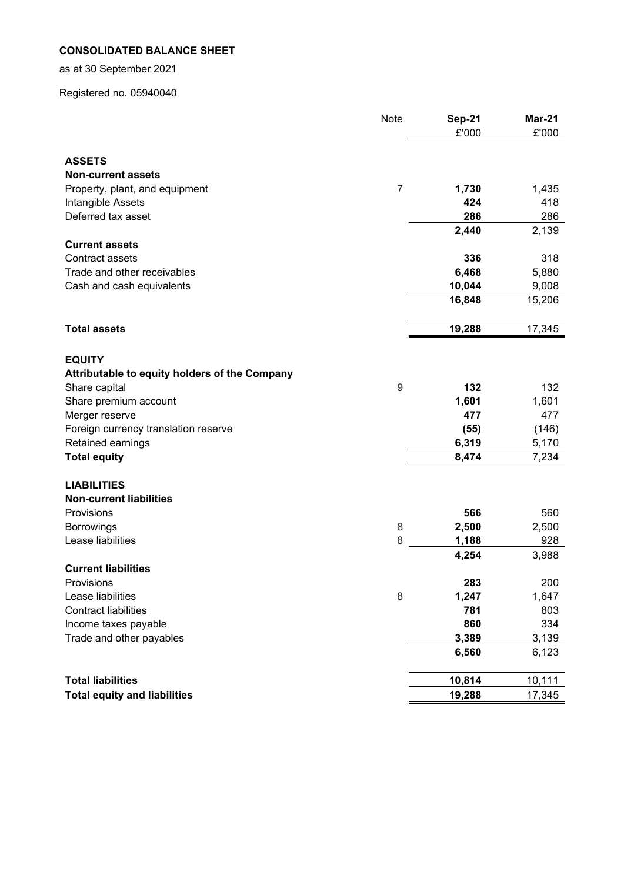# **CONSOLIDATED BALANCE SHEET**

as at 30 September 2021

Registered no. 05940040

|                                               | Note             | <b>Sep-21</b> | <b>Mar-21</b> |
|-----------------------------------------------|------------------|---------------|---------------|
|                                               |                  | £'000         | £'000         |
|                                               |                  |               |               |
| <b>ASSETS</b>                                 |                  |               |               |
| <b>Non-current assets</b>                     |                  |               |               |
| Property, plant, and equipment                | $\overline{7}$   | 1,730         | 1,435         |
| Intangible Assets                             |                  | 424           | 418           |
| Deferred tax asset                            |                  | 286           | 286           |
| <b>Current assets</b>                         |                  | 2,440         | 2,139         |
| <b>Contract assets</b>                        |                  | 336           | 318           |
| Trade and other receivables                   |                  | 6,468         | 5,880         |
| Cash and cash equivalents                     |                  | 10,044        | 9,008         |
|                                               |                  | 16,848        | 15,206        |
|                                               |                  |               |               |
| <b>Total assets</b>                           |                  | 19,288        | 17,345        |
|                                               |                  |               |               |
| <b>EQUITY</b>                                 |                  |               |               |
| Attributable to equity holders of the Company |                  |               |               |
| Share capital                                 | $\boldsymbol{9}$ | 132           | 132           |
| Share premium account                         |                  | 1,601         | 1,601         |
| Merger reserve                                |                  | 477           | 477           |
| Foreign currency translation reserve          |                  | (55)          | (146)         |
| Retained earnings                             |                  | 6,319         | 5,170         |
| <b>Total equity</b>                           |                  | 8,474         | 7,234         |
| <b>LIABILITIES</b>                            |                  |               |               |
| <b>Non-current liabilities</b>                |                  |               |               |
| Provisions                                    |                  | 566           | 560           |
| <b>Borrowings</b>                             | 8                | 2,500         | 2,500         |
| Lease liabilities                             | 8                | 1,188         | 928           |
|                                               |                  | 4,254         | 3,988         |
| <b>Current liabilities</b>                    |                  |               |               |
| Provisions                                    |                  | 283           | 200           |
| Lease liabilities                             | 8                | 1,247         | 1,647         |
| <b>Contract liabilities</b>                   |                  | 781           | 803           |
| Income taxes payable                          |                  | 860           | 334           |
| Trade and other payables                      |                  | 3,389         | 3,139         |
|                                               |                  | 6,560         | 6,123         |
| <b>Total liabilities</b>                      |                  | 10,814        | 10,111        |
| <b>Total equity and liabilities</b>           |                  | 19,288        | 17,345        |
|                                               |                  |               |               |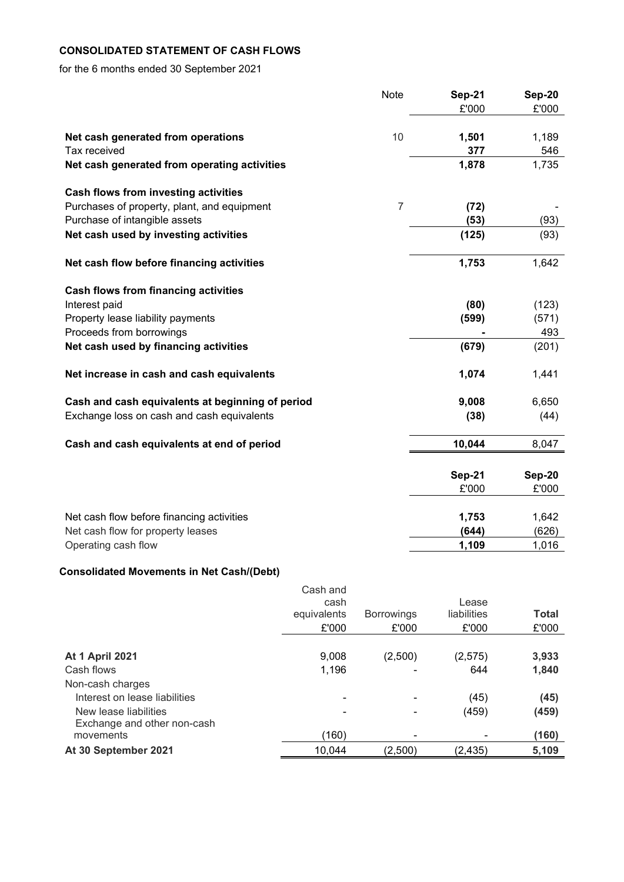# **CONSOLIDATED STATEMENT OF CASH FLOWS**

for the 6 months ended 30 September 2021

|                                                  | Note           | Sep-21        | Sep-20 |
|--------------------------------------------------|----------------|---------------|--------|
|                                                  |                | £'000         | £'000  |
|                                                  |                |               |        |
| Net cash generated from operations               | 10             | 1,501         | 1,189  |
| Tax received                                     |                | 377           | 546    |
| Net cash generated from operating activities     |                | 1,878         | 1,735  |
| <b>Cash flows from investing activities</b>      |                |               |        |
| Purchases of property, plant, and equipment      | $\overline{7}$ | (72)          |        |
| Purchase of intangible assets                    |                | (53)          | (93)   |
| Net cash used by investing activities            |                | (125)         | (93)   |
| Net cash flow before financing activities        |                | 1,753         | 1,642  |
|                                                  |                |               |        |
| <b>Cash flows from financing activities</b>      |                |               |        |
| Interest paid                                    |                | (80)          | (123)  |
| Property lease liability payments                |                | (599)         | (571)  |
| Proceeds from borrowings                         |                |               | 493    |
| Net cash used by financing activities            |                | (679)         | (201)  |
| Net increase in cash and cash equivalents        |                | 1,074         | 1,441  |
| Cash and cash equivalents at beginning of period |                | 9,008         | 6,650  |
| Exchange loss on cash and cash equivalents       |                | (38)          | (44)   |
|                                                  |                |               |        |
| Cash and cash equivalents at end of period       |                | 10,044        | 8,047  |
|                                                  |                |               |        |
|                                                  |                | <b>Sep-21</b> | Sep-20 |
|                                                  |                | £'000         | £'000  |
| Net cash flow before financing activities        |                | 1,753         | 1,642  |
| Net cash flow for property leases                |                | (644)         | (626)  |
| Operating cash flow                              |                | 1,109         | 1,016  |

# **Consolidated Movements in Net Cash/(Debt)**

|                               | Cash and    |                   |             |              |
|-------------------------------|-------------|-------------------|-------------|--------------|
|                               | cash        |                   | Lease       |              |
|                               | equivalents | <b>Borrowings</b> | liabilities | <b>Total</b> |
|                               | £'000       | £'000             | £'000       | £'000        |
|                               |             |                   |             |              |
| <b>At 1 April 2021</b>        | 9,008       | (2,500)           | (2,575)     | 3,933        |
| Cash flows                    | 1,196       |                   | 644         | 1,840        |
| Non-cash charges              |             |                   |             |              |
| Interest on lease liabilities |             |                   | (45)        | (45)         |
| New lease liabilities         |             |                   | (459)       | (459)        |
| Exchange and other non-cash   |             |                   |             |              |
| movements                     | (160)       | ۰                 |             | (160)        |
| At 30 September 2021          | 10,044      | (2,500)           | (2,435)     | 5,109        |
|                               |             |                   |             |              |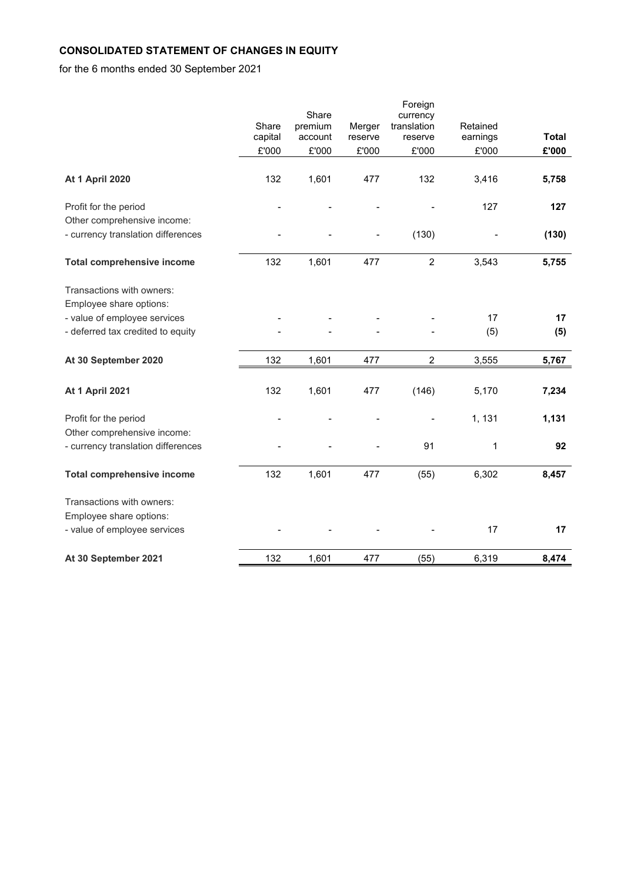# **CONSOLIDATED STATEMENT OF CHANGES IN EQUITY**

for the 6 months ended 30 September 2021

|                                    |                  |                    |                   | Foreign                |                      |              |
|------------------------------------|------------------|--------------------|-------------------|------------------------|----------------------|--------------|
|                                    |                  | Share              |                   | currency               |                      |              |
|                                    | Share<br>capital | premium<br>account | Merger<br>reserve | translation<br>reserve | Retained<br>earnings | <b>Total</b> |
|                                    | £'000            | £'000              | £'000             | £'000                  | £'000                | £'000        |
|                                    |                  |                    |                   |                        |                      |              |
| <b>At 1 April 2020</b>             | 132              | 1,601              | 477               | 132                    | 3,416                | 5,758        |
| Profit for the period              |                  |                    |                   |                        | 127                  | 127          |
| Other comprehensive income:        |                  |                    |                   |                        |                      |              |
| - currency translation differences |                  |                    |                   | (130)                  |                      | (130)        |
| <b>Total comprehensive income</b>  | 132              | 1,601              | 477               | $\overline{2}$         | 3,543                | 5,755        |
| Transactions with owners:          |                  |                    |                   |                        |                      |              |
| Employee share options:            |                  |                    |                   |                        |                      |              |
| - value of employee services       |                  |                    |                   |                        | 17                   | 17           |
| - deferred tax credited to equity  |                  |                    |                   |                        | (5)                  | (5)          |
| At 30 September 2020               | 132              | 1,601              | 477               | $\overline{c}$         | 3,555                | 5,767        |
|                                    |                  |                    |                   |                        |                      |              |
| <b>At 1 April 2021</b>             | 132              | 1,601              | 477               | (146)                  | 5,170                | 7,234        |
| Profit for the period              |                  |                    |                   |                        | 1, 131               | 1,131        |
| Other comprehensive income:        |                  |                    |                   |                        |                      |              |
| - currency translation differences |                  |                    |                   | 91                     | $\mathbf{1}$         | 92           |
| <b>Total comprehensive income</b>  | 132              | 1,601              | 477               | (55)                   | 6,302                | 8,457        |
| Transactions with owners:          |                  |                    |                   |                        |                      |              |
| Employee share options:            |                  |                    |                   |                        |                      |              |
| - value of employee services       |                  |                    |                   |                        | 17                   | 17           |
| At 30 September 2021               | 132              | 1,601              | 477               | (55)                   | 6,319                | 8,474        |
|                                    |                  |                    |                   |                        |                      |              |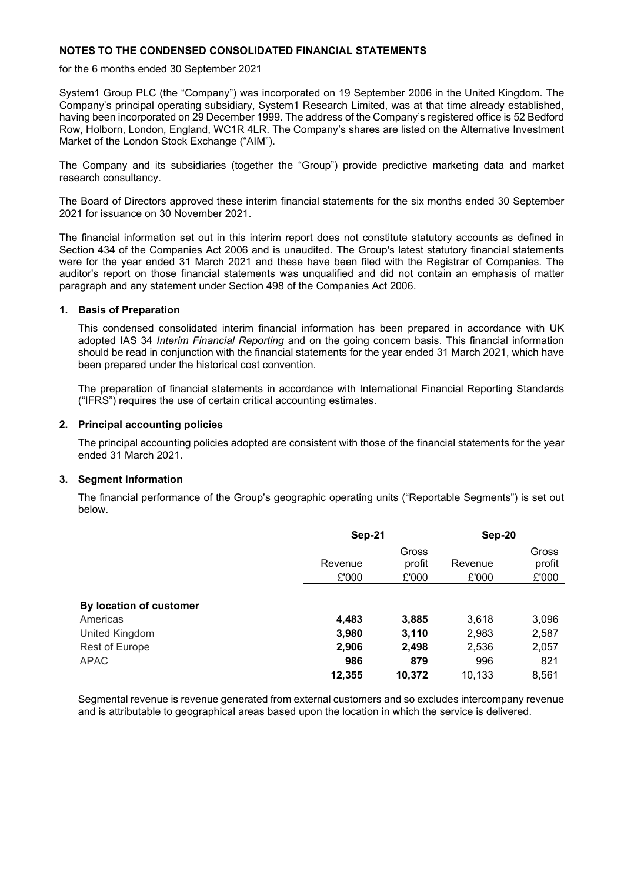### **NOTES TO THE CONDENSED CONSOLIDATED FINANCIAL STATEMENTS**

for the 6 months ended 30 September 2021

System1 Group PLC (the "Company") was incorporated on 19 September 2006 in the United Kingdom. The Company's principal operating subsidiary, System1 Research Limited, was at that time already established, having been incorporated on 29 December 1999. The address of the Company's registered office is 52 Bedford Row, Holborn, London, England, WC1R 4LR. The Company's shares are listed on the Alternative Investment Market of the London Stock Exchange ("AIM").

The Company and its subsidiaries (together the "Group") provide predictive marketing data and market research consultancy.

The Board of Directors approved these interim financial statements for the six months ended 30 September 2021 for issuance on 30 November 2021.

The financial information set out in this interim report does not constitute statutory accounts as defined in Section 434 of the Companies Act 2006 and is unaudited. The Group's latest statutory financial statements were for the year ended 31 March 2021 and these have been filed with the Registrar of Companies. The auditor's report on those financial statements was unqualified and did not contain an emphasis of matter paragraph and any statement under Section 498 of the Companies Act 2006.

### **1. Basis of Preparation**

This condensed consolidated interim financial information has been prepared in accordance with UK adopted IAS 34 *Interim Financial Reporting* and on the going concern basis. This financial information should be read in conjunction with the financial statements for the year ended 31 March 2021, which have been prepared under the historical cost convention.

The preparation of financial statements in accordance with International Financial Reporting Standards ("IFRS") requires the use of certain critical accounting estimates.

### **2. Principal accounting policies**

The principal accounting policies adopted are consistent with those of the financial statements for the year ended 31 March 2021.

### **3. Segment Information**

The financial performance of the Group's geographic operating units ("Reportable Segments") is set out below.

|                         |         | Sep-21          |         | Sep-20          |  |
|-------------------------|---------|-----------------|---------|-----------------|--|
|                         | Revenue | Gross<br>profit | Revenue | Gross<br>profit |  |
|                         | £'000   | £'000           | £'000   | £'000           |  |
| By location of customer |         |                 |         |                 |  |
| Americas                | 4,483   | 3,885           | 3,618   | 3,096           |  |
| United Kingdom          | 3,980   | 3,110           | 2,983   | 2,587           |  |
| Rest of Europe          | 2,906   | 2,498           | 2,536   | 2,057           |  |
| <b>APAC</b>             | 986     | 879             | 996     | 821             |  |
|                         | 12,355  | 10,372          | 10,133  | 8,561           |  |

Segmental revenue is revenue generated from external customers and so excludes intercompany revenue and is attributable to geographical areas based upon the location in which the service is delivered.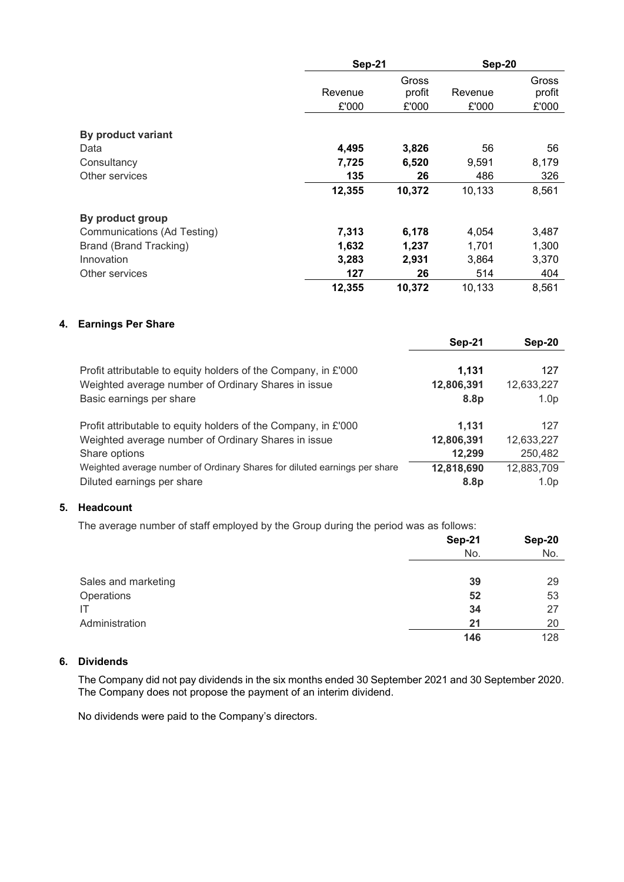|                             | <b>Sep-21</b> |        | Sep-20  |        |
|-----------------------------|---------------|--------|---------|--------|
|                             |               | Gross  |         | Gross  |
|                             | Revenue       | profit | Revenue | profit |
|                             | £'000         | £'000  | £'000   | £'000  |
| By product variant          |               |        |         |        |
| Data                        | 4,495         | 3,826  | 56      | 56     |
| Consultancy                 | 7,725         | 6,520  | 9,591   | 8,179  |
| Other services              | 135           | 26     | 486     | 326    |
|                             | 12,355        | 10,372 | 10,133  | 8,561  |
| By product group            |               |        |         |        |
| Communications (Ad Testing) | 7,313         | 6,178  | 4,054   | 3,487  |
| Brand (Brand Tracking)      | 1,632         | 1,237  | 1,701   | 1,300  |
| Innovation                  | 3,283         | 2,931  | 3,864   | 3,370  |
| Other services              | 127           | 26     | 514     | 404    |
|                             | 12,355        | 10,372 | 10,133  | 8,561  |

# **4. Earnings Per Share**

|                                                                           | Sep-21           | Sep-20           |
|---------------------------------------------------------------------------|------------------|------------------|
| Profit attributable to equity holders of the Company, in £'000            | 1,131            | 127              |
| Weighted average number of Ordinary Shares in issue                       | 12,806,391       | 12,633,227       |
| Basic earnings per share                                                  | 8.8 <sub>p</sub> | 1.0 <sub>p</sub> |
| Profit attributable to equity holders of the Company, in £'000            | 1.131            | 127              |
| Weighted average number of Ordinary Shares in issue                       | 12,806,391       | 12,633,227       |
| Share options                                                             | 12,299           | 250,482          |
| Weighted average number of Ordinary Shares for diluted earnings per share | 12,818,690       | 12,883,709       |
| Diluted earnings per share                                                | 8.8 <sub>p</sub> | 1.0 <sub>p</sub> |

# **5. Headcount**

The average number of staff employed by the Group during the period was as follows:

|                     | Sep-21 | Sep-20 |
|---------------------|--------|--------|
|                     | No.    | No.    |
|                     |        |        |
| Sales and marketing | 39     | 29     |
| Operations          | 52     | 53     |
| ΙT                  | 34     | 27     |
| Administration      | 21     | 20     |
|                     | 146    | 128    |

# **6. Dividends**

The Company did not pay dividends in the six months ended 30 September 2021 and 30 September 2020. The Company does not propose the payment of an interim dividend.

No dividends were paid to the Company's directors.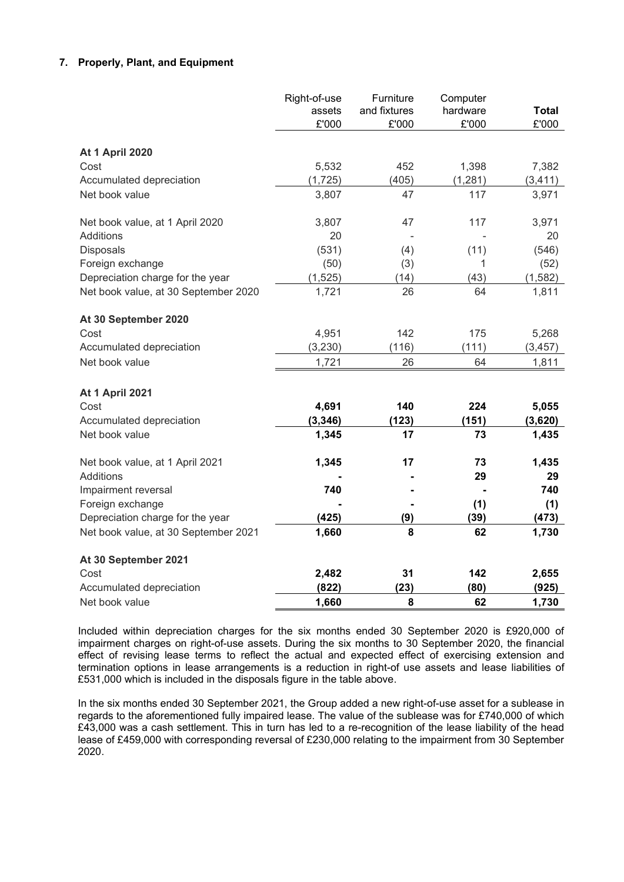# **7. Properly, Plant, and Equipment**

|                                      | Right-of-use | Furniture    | Computer |              |
|--------------------------------------|--------------|--------------|----------|--------------|
|                                      | assets       | and fixtures | hardware | <b>Total</b> |
|                                      | £'000        | £'000        | £'000    | £'000        |
| <b>At 1 April 2020</b>               |              |              |          |              |
| Cost                                 | 5,532        | 452          | 1,398    | 7,382        |
| Accumulated depreciation             | (1, 725)     | (405)        | (1, 281) | (3, 411)     |
| Net book value                       | 3,807        | 47           | 117      | 3,971        |
| Net book value, at 1 April 2020      | 3,807        | 47           | 117      | 3,971        |
| Additions                            | 20           |              |          | 20           |
| Disposals                            | (531)        | (4)          | (11)     | (546)        |
| Foreign exchange                     | (50)         | (3)          | 1        | (52)         |
| Depreciation charge for the year     | (1, 525)     | (14)         | (43)     | (1, 582)     |
| Net book value, at 30 September 2020 | 1,721        | 26           | 64       | 1,811        |
| At 30 September 2020                 |              |              |          |              |
| Cost                                 | 4,951        | 142          | 175      | 5,268        |
| Accumulated depreciation             | (3, 230)     | (116)        | (111)    | (3, 457)     |
| Net book value                       | 1,721        | 26           | 64       | 1,811        |
| <b>At 1 April 2021</b>               |              |              |          |              |
| Cost                                 | 4,691        | 140          | 224      | 5,055        |
| Accumulated depreciation             | (3, 346)     | (123)        | (151)    | (3,620)      |
| Net book value                       | 1,345        | 17           | 73       | 1,435        |
| Net book value, at 1 April 2021      | 1,345        | 17           | 73       | 1,435        |
| <b>Additions</b>                     |              |              | 29       | 29           |
| Impairment reversal                  | 740          |              |          | 740          |
| Foreign exchange                     |              |              | (1)      | (1)          |
| Depreciation charge for the year     | (425)        | (9)          | (39)     | (473)        |
| Net book value, at 30 September 2021 | 1,660        | 8            | 62       | 1,730        |
| At 30 September 2021                 |              |              |          |              |
| Cost                                 | 2,482        | 31           | 142      | 2,655        |
| Accumulated depreciation             | (822)        | (23)         | (80)     | (925)        |
| Net book value                       | 1,660        | 8            | 62       | 1,730        |

Included within depreciation charges for the six months ended 30 September 2020 is £920,000 of impairment charges on right-of-use assets. During the six months to 30 September 2020, the financial effect of revising lease terms to reflect the actual and expected effect of exercising extension and termination options in lease arrangements is a reduction in right-of use assets and lease liabilities of £531,000 which is included in the disposals figure in the table above.

In the six months ended 30 September 2021, the Group added a new right-of-use asset for a sublease in regards to the aforementioned fully impaired lease. The value of the sublease was for £740,000 of which £43,000 was a cash settlement. This in turn has led to a re-recognition of the lease liability of the head lease of £459,000 with corresponding reversal of £230,000 relating to the impairment from 30 September 2020.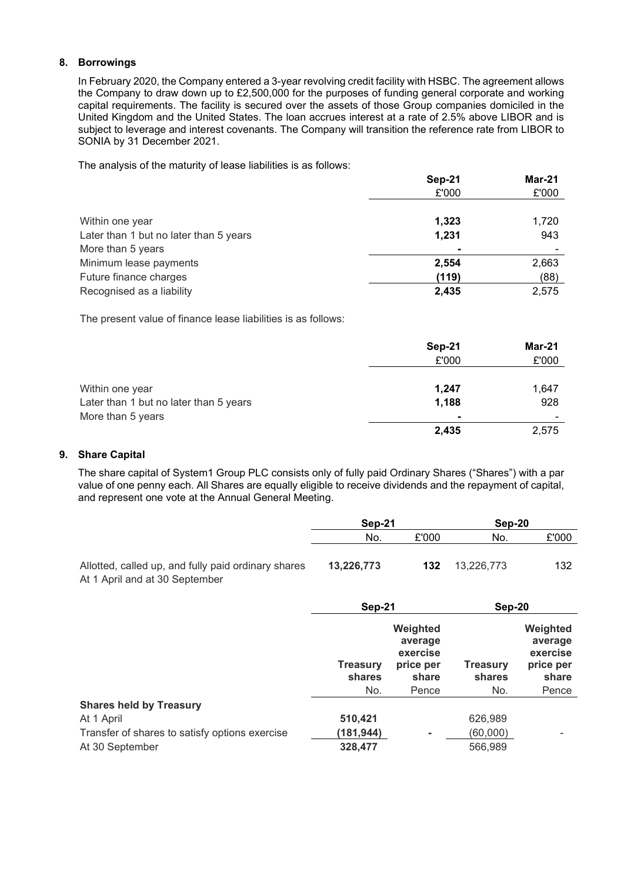### **8. Borrowings**

In February 2020, the Company entered a 3-year revolving credit facility with HSBC. The agreement allows the Company to draw down up to £2,500,000 for the purposes of funding general corporate and working capital requirements. The facility is secured over the assets of those Group companies domiciled in the United Kingdom and the United States. The loan accrues interest at a rate of 2.5% above LIBOR and is subject to leverage and interest covenants. The Company will transition the reference rate from LIBOR to SONIA by 31 December 2021.

The analysis of the maturity of lease liabilities is as follows:

|                                        | Sep-21 | Mar-21 |  |
|----------------------------------------|--------|--------|--|
|                                        | £'000  | £'000  |  |
|                                        |        |        |  |
| Within one year                        | 1,323  | 1,720  |  |
| Later than 1 but no later than 5 years | 1,231  | 943    |  |
| More than 5 years                      |        |        |  |
| Minimum lease payments                 | 2,554  | 2,663  |  |
| Future finance charges                 | (119)  | (88)   |  |
| Recognised as a liability              | 2,435  | 2,575  |  |

The present value of finance lease liabilities is as follows:

|                                        | Sep-21         | Mar-21 |
|----------------------------------------|----------------|--------|
|                                        | £'000          | £'000  |
|                                        |                |        |
| Within one year                        | 1,247          | 1,647  |
| Later than 1 but no later than 5 years | 1,188          | 928    |
| More than 5 years                      | $\blacksquare$ |        |
|                                        | 2,435          | 2,575  |

# **9. Share Capital**

The share capital of System1 Group PLC consists only of fully paid Ordinary Shares ("Shares") with a par value of one penny each. All Shares are equally eligible to receive dividends and the repayment of capital, and represent one vote at the Annual General Meeting.

|                                                                                       | Sep-21     |       | Sep-20     |       |
|---------------------------------------------------------------------------------------|------------|-------|------------|-------|
|                                                                                       | No.        | £'000 | No.        | £'000 |
| Allotted, called up, and fully paid ordinary shares<br>At 1 April and at 30 September | 13,226,773 | 132   | 13.226.773 | 132   |

|                                                | Sep-21                    |                                                       | Sep-20                    |                                                       |
|------------------------------------------------|---------------------------|-------------------------------------------------------|---------------------------|-------------------------------------------------------|
|                                                | <b>Treasury</b><br>shares | Weighted<br>average<br>exercise<br>price per<br>share | <b>Treasury</b><br>shares | Weighted<br>average<br>exercise<br>price per<br>share |
|                                                | No.                       | Pence                                                 | No.                       | Pence                                                 |
| <b>Shares held by Treasury</b>                 |                           |                                                       |                           |                                                       |
| At 1 April                                     | 510,421                   |                                                       | 626,989                   |                                                       |
| Transfer of shares to satisfy options exercise | (181,944)                 | $\overline{\phantom{a}}$                              | (60,000)                  | -                                                     |
| At 30 September                                | 328,477                   |                                                       | 566,989                   |                                                       |